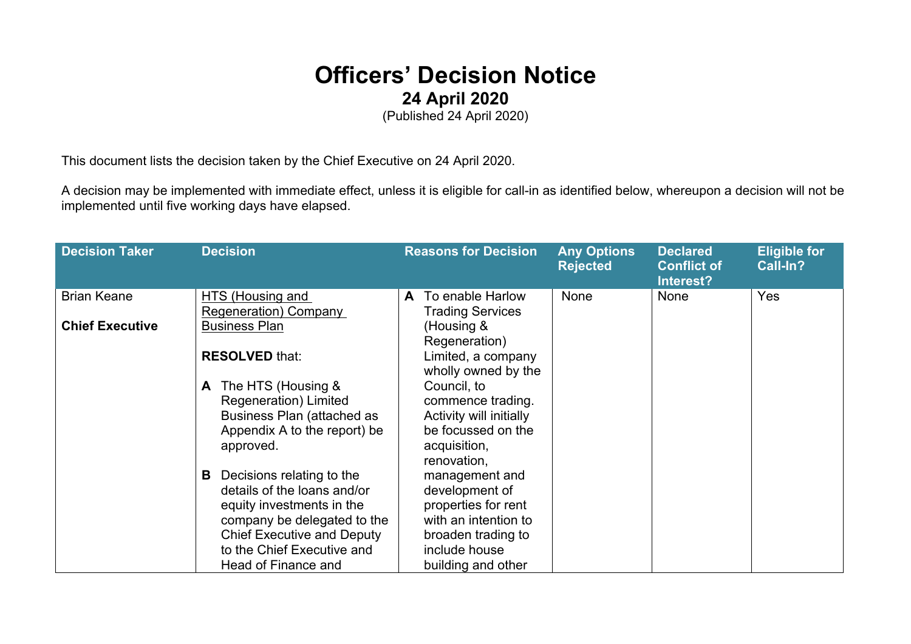## **Officers' Decision Notice 24 April 2020**

(Published 24 April 2020)

This document lists the decision taken by the Chief Executive on 24 April 2020.

A decision may be implemented with immediate effect, unless it is eligible for call-in as identified below, whereupon a decision will not be implemented until five working days have elapsed.

| <b>Decision Taker</b>  | <b>Decision</b>                                                                                                                                                                              | <b>Reasons for Decision</b>                                                                                            | <b>Any Options</b><br><b>Rejected</b> | <b>Declared</b><br><b>Conflict of</b><br>Interest? | <b>Eligible for</b><br>Call-In? |
|------------------------|----------------------------------------------------------------------------------------------------------------------------------------------------------------------------------------------|------------------------------------------------------------------------------------------------------------------------|---------------------------------------|----------------------------------------------------|---------------------------------|
| <b>Brian Keane</b>     | HTS (Housing and<br>Regeneration) Company                                                                                                                                                    | To enable Harlow<br>A<br><b>Trading Services</b>                                                                       | None                                  | <b>None</b>                                        | Yes                             |
| <b>Chief Executive</b> | <b>Business Plan</b>                                                                                                                                                                         | (Housing &<br>Regeneration)                                                                                            |                                       |                                                    |                                 |
|                        | <b>RESOLVED that:</b>                                                                                                                                                                        | Limited, a company<br>wholly owned by the                                                                              |                                       |                                                    |                                 |
|                        | The HTS (Housing &<br>A<br>Regeneration) Limited<br>Business Plan (attached as<br>Appendix A to the report) be<br>approved.                                                                  | Council, to<br>commence trading.<br>Activity will initially<br>be focussed on the<br>acquisition,<br>renovation,       |                                       |                                                    |                                 |
|                        | Decisions relating to the<br>B<br>details of the loans and/or<br>equity investments in the<br>company be delegated to the<br><b>Chief Executive and Deputy</b><br>to the Chief Executive and | management and<br>development of<br>properties for rent<br>with an intention to<br>broaden trading to<br>include house |                                       |                                                    |                                 |
|                        | Head of Finance and                                                                                                                                                                          | building and other                                                                                                     |                                       |                                                    |                                 |